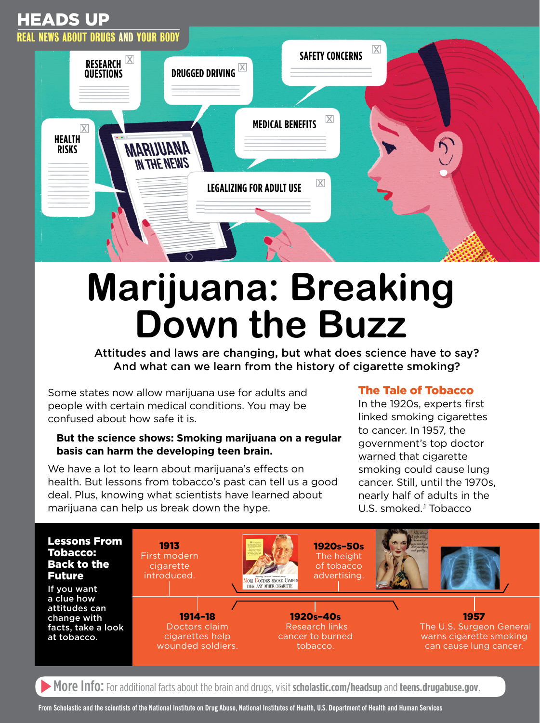# Heads Up



# **Marijuana: Breaking Down the Buzz**

Attitudes and laws are changing, but what does science have to say? And what can we learn from the history of cigarette smoking?

Some states now allow marijuana use for adults and people with certain medical conditions. You may be confused about how safe it is.

#### **But the science shows: Smoking marijuana on a regular basis can harm the developing teen brain.**

We have a lot to learn about marijuana's effects on health. But lessons from tobacco's past can tell us a good deal. Plus, knowing what scientists have learned about marijuana can help us break down the hype.

## The Tale of Tobacco

In the 1920s, experts first linked smoking cigarettes to cancer. In 1957, the government's top doctor warned that cigarette smoking could cause lung cancer. Still, until the 1970s, nearly half of adults in the U.S. smoked.<sup>1</sup> Tobacco



**More Info:** For additional facts about the brain and drugs, visit [scholastic.com/headsup](http://scholastic.com/headsup) and [teens.drugabuse.gov](http://teens.drugabuse.gov).